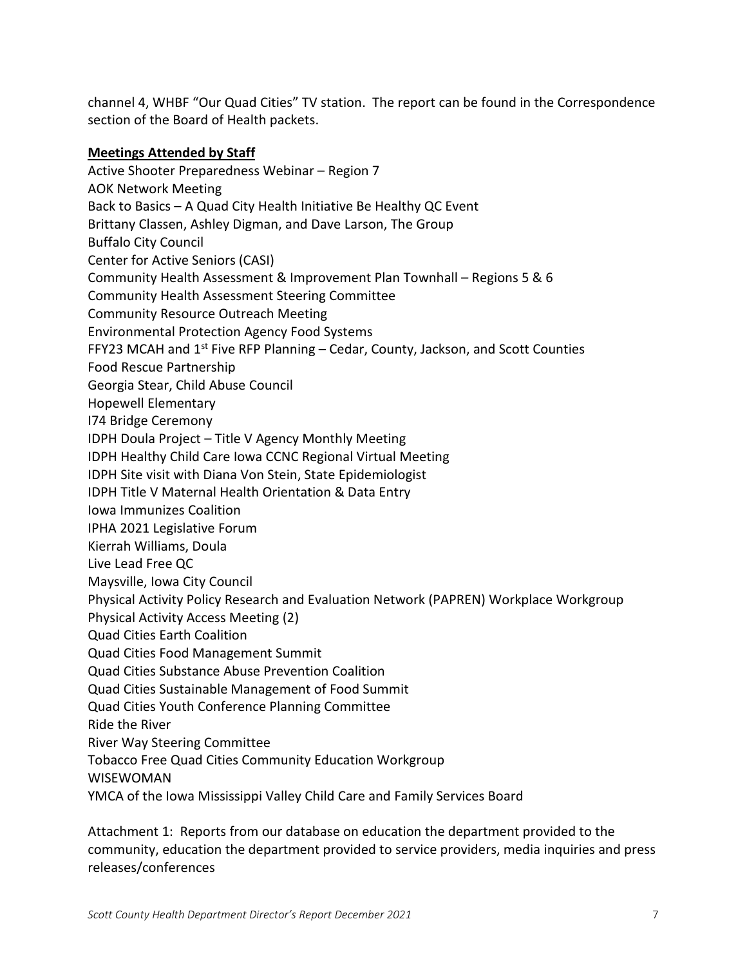channel 4, WHBF "Our Quad Cities" TV station. The report can be found in the Correspondence section of the Board of Health packets.

## **Meetings Attended by Staff**

Active Shooter Preparedness Webinar – Region 7 AOK Network Meeting Back to Basics – A Quad City Health Initiative Be Healthy QC Event Brittany Classen, Ashley Digman, and Dave Larson, The Group Buffalo City Council Center for Active Seniors (CASI) Community Health Assessment & Improvement Plan Townhall – Regions 5 & 6 Community Health Assessment Steering Committee Community Resource Outreach Meeting Environmental Protection Agency Food Systems FFY23 MCAH and  $1<sup>st</sup>$  Five RFP Planning – Cedar, County, Jackson, and Scott Counties Food Rescue Partnership Georgia Stear, Child Abuse Council Hopewell Elementary I74 Bridge Ceremony IDPH Doula Project – Title V Agency Monthly Meeting IDPH Healthy Child Care Iowa CCNC Regional Virtual Meeting IDPH Site visit with Diana Von Stein, State Epidemiologist IDPH Title V Maternal Health Orientation & Data Entry Iowa Immunizes Coalition IPHA 2021 Legislative Forum Kierrah Williams, Doula Live Lead Free QC Maysville, Iowa City Council Physical Activity Policy Research and Evaluation Network (PAPREN) Workplace Workgroup Physical Activity Access Meeting (2) Quad Cities Earth Coalition Quad Cities Food Management Summit Quad Cities Substance Abuse Prevention Coalition Quad Cities Sustainable Management of Food Summit Quad Cities Youth Conference Planning Committee Ride the River River Way Steering Committee Tobacco Free Quad Cities Community Education Workgroup WISEWOMAN YMCA of the Iowa Mississippi Valley Child Care and Family Services Board

Attachment 1: Reports from our database on education the department provided to the community, education the department provided to service providers, media inquiries and press releases/conferences